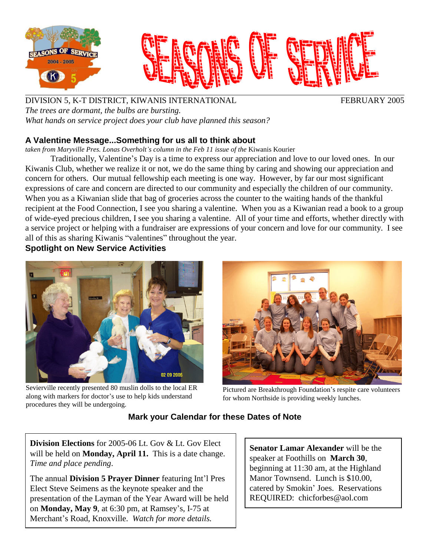

DIVISION 5, K-T DISTRICT, KIWANIS INTERNATIONAL FEBRUARY 2005 *The trees are dormant, the bulbs are bursting. What hands on service project does your club have planned this season?*

## **A Valentine Message...Something forus all to think about**

*taken from Maryville Pres. Lonas Overholtís column in the Feb 11 issue of the* Kiwanis Kourier

Traditionally, Valentine's Day is a time to express our appreciation and love to our loved ones. In our Kiwanis Club, whether we realize it or not, we do the same thing by caring and showing our appreciation and concern for others. Our mutual fellowship each meeting is one way. However, by far our most significant expressions of care and concern are directed to our community and especially the children of our community. When you as a Kiwanian slide that bag of groceries across the counter to the waiting hands of the thankful recipient at the Food Connection, I see you sharing a valentine. When you as a Kiwanian read a book to a group of wide-eyed precious children, I see you sharing a valentine. All of your time and efforts, whether directly with a service project or helping with a fundraiser are expressions of your concern and love for our community. I see all of this as sharing Kiwanis "valentines" throughout the year.

**Spotlight on New Service Activities**



Sevierville recently presented 80 muslin dolls to the local ER along with markers for doctor's use to help kids understand Sevierville recently presented 80 muslin dolls to the local ER Pictured are Breakthrough Foundation's respite care volunteers along with markers for doctor's use to help kids understand procedures they will be undergoing.



for whom Northside is providing weekly lunches.

## **Mark your Calendar for these Dates of Note**

**Division Elections** for 2005-06 Lt. Gov & Lt. Gov Elect will be held on **Monday, April 11.** This is a date change. *Time and place pending*.

The annual **Division 5 Prayer Dinner** featuring Intíl Pres Elect Steve Seimens as the keynote speaker and the presentation of the Layman of the Year Award will be held on **Monday, May 9**, at 6:30 pm, at Ramsey's, I-75 at Merchant's Road, Knoxville. Watch for more details.

**Senator Lamar Alexander** will be the speaker at Foothills on **March 30**, beginning at 11:30 am, at the Highland Manor Townsend. Lunch is \$10.00, catered by Smokin' Joes. Reservations REQUIRED: [chicforbes@aol.com](mailto:chicforbes@aol.com)